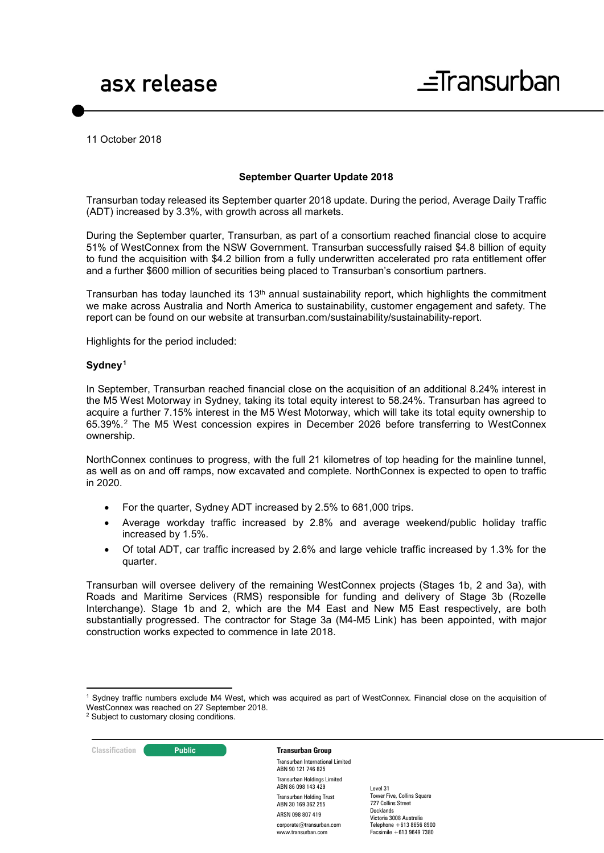11 October 2018

### **September Quarter Update 2018**

Transurban today released its September quarter 2018 update. During the period, Average Daily Traffic (ADT) increased by 3.3%, with growth across all markets.

During the September quarter, Transurban, as part of a consortium reached financial close to acquire 51% of WestConnex from the NSW Government. Transurban successfully raised \$4.8 billion of equity to fund the acquisition with \$4.2 billion from a fully underwritten accelerated pro rata entitlement offer and a further \$600 million of securities being placed to Transurban's consortium partners.

Transurban has today launched its  $13<sup>th</sup>$  annual sustainability report, which highlights the commitment we make across Australia and North America to sustainability, customer engagement and safety. The report can be found on our website at transurban.com/sustainability/sustainability-report.

Highlights for the period included:

### **Sydney[1](#page-0-0)**

In September, Transurban reached financial close on the acquisition of an additional 8.24% interest in the M5 West Motorway in Sydney, taking its total equity interest to 58.24%. Transurban has agreed to acquire a further 7.15% interest in the M5 West Motorway, which will take its total equity ownership to 65.39%.[2](#page-0-1) The M5 West concession expires in December 2026 before transferring to WestConnex ownership.

NorthConnex continues to progress, with the full 21 kilometres of top heading for the mainline tunnel, as well as on and off ramps, now excavated and complete. NorthConnex is expected to open to traffic in 2020.

- For the quarter, Sydney ADT increased by 2.5% to 681,000 trips.
- Average workday traffic increased by 2.8% and average weekend/public holiday traffic increased by 1.5%.
- Of total ADT, car traffic increased by 2.6% and large vehicle traffic increased by 1.3% for the quarter.

Transurban will oversee delivery of the remaining WestConnex projects (Stages 1b, 2 and 3a), with Roads and Maritime Services (RMS) responsible for funding and delivery of Stage 3b (Rozelle Interchange). Stage 1b and 2, which are the M4 East and New M5 East respectively, are both substantially progressed. The contractor for Stage 3a (M4-M5 Link) has been appointed, with major construction works expected to commence in late 2018.

<span id="page-0-1"></span><sup>&</sup>lt;sup>2</sup> Subject to customary closing conditions.



<u>.</u>

Transurban International Limited ABN 90 121 746 825 Transurban Holdings Limited ABN 86 098 143 429 Transurban Holding Trust ABN 30 169 362 255 ARSN 098 807 419 corporate@transurban.com www.transurban.com

<span id="page-0-0"></span><sup>1</sup> Sydney traffic numbers exclude M4 West, which was acquired as part of WestConnex. Financial close on the acquisition of WestConnex was reached on 27 September 2018.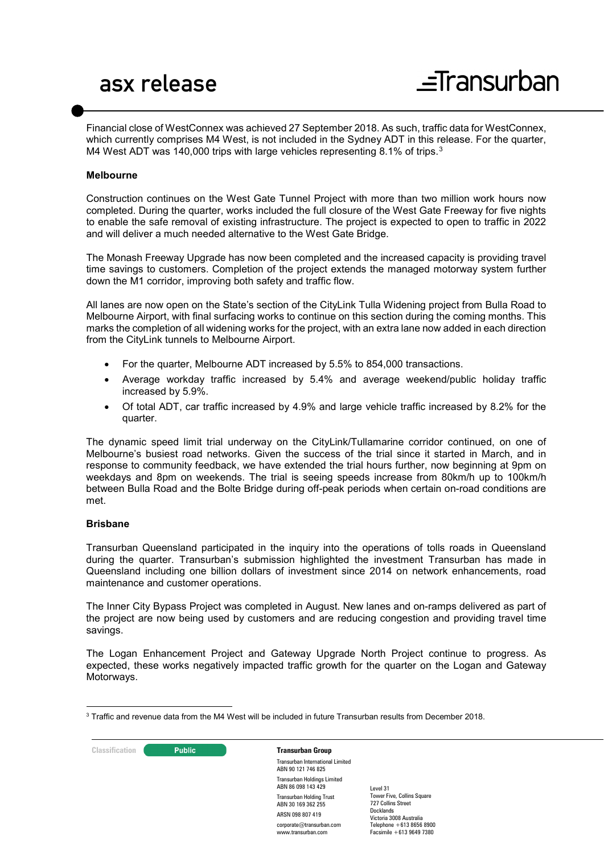## asx release

Financial close of WestConnex was achieved 27 September 2018. As such, traffic data for WestConnex, which currently comprises M4 West, is not included in the Sydney ADT in this release. For the quarter, M4 West ADT was 140,000 trips with large vehicles representing 8.1% of trips.<sup>[3](#page-1-0)</sup>

### **Melbourne**

Construction continues on the West Gate Tunnel Project with more than two million work hours now completed. During the quarter, works included the full closure of the West Gate Freeway for five nights to enable the safe removal of existing infrastructure. The project is expected to open to traffic in 2022 and will deliver a much needed alternative to the West Gate Bridge.

The Monash Freeway Upgrade has now been completed and the increased capacity is providing travel time savings to customers. Completion of the project extends the managed motorway system further down the M1 corridor, improving both safety and traffic flow.

All lanes are now open on the State's section of the CityLink Tulla Widening project from Bulla Road to Melbourne Airport, with final surfacing works to continue on this section during the coming months. This marks the completion of all widening works for the project, with an extra lane now added in each direction from the CityLink tunnels to Melbourne Airport.

- For the quarter, Melbourne ADT increased by 5.5% to 854,000 transactions.
- Average workday traffic increased by 5.4% and average weekend/public holiday traffic increased by 5.9%.
- Of total ADT, car traffic increased by 4.9% and large vehicle traffic increased by 8.2% for the quarter.

The dynamic speed limit trial underway on the CityLink/Tullamarine corridor continued, on one of Melbourne's busiest road networks. Given the success of the trial since it started in March, and in response to community feedback, we have extended the trial hours further, now beginning at 9pm on weekdays and 8pm on weekends. The trial is seeing speeds increase from 80km/h up to 100km/h between Bulla Road and the Bolte Bridge during off-peak periods when certain on-road conditions are met.

### **Brisbane**

Transurban Queensland participated in the inquiry into the operations of tolls roads in Queensland during the quarter. Transurban's submission highlighted the investment Transurban has made in Queensland including one billion dollars of investment since 2014 on network enhancements, road maintenance and customer operations.

The Inner City Bypass Project was completed in August. New lanes and on-ramps delivered as part of the project are now being used by customers and are reducing congestion and providing travel time savings.

The Logan Enhancement Project and Gateway Upgrade North Project continue to progress. As expected, these works negatively impacted traffic growth for the quarter on the Logan and Gateway Motorways.

**Classification Public Public <b>Transurban Group** Transurban International Limited ABN 90 121 746 825 Transurban Holdings Limited ABN 86 098 143 429 Transurban Holding Trust ABN 30 169 362 255 ARSN 098 807 419 corporate@transurban.com www.transurban.com Level 31 Docklands

<span id="page-1-0"></span><sup>-</sup> $^3$  Traffic and revenue data from the M4 West will be included in future Transurban results from December 2018.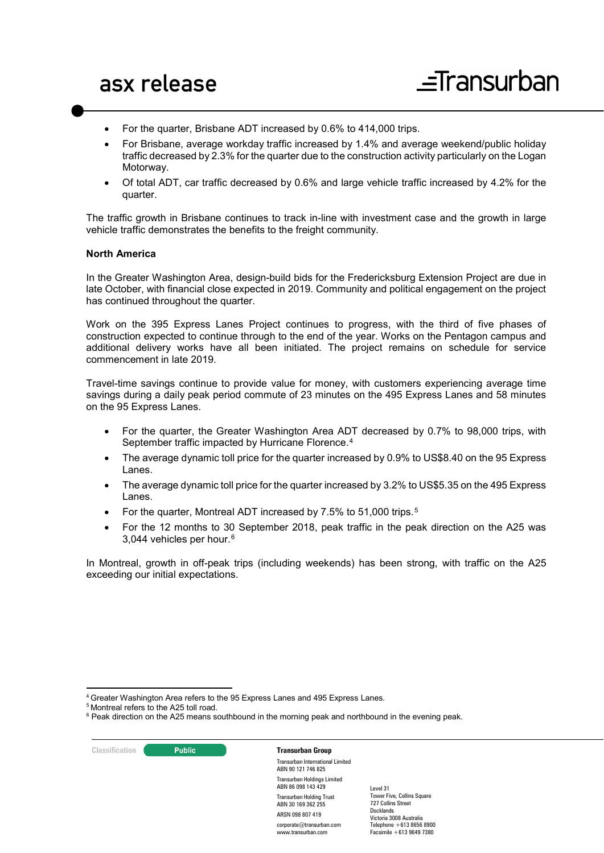- For the quarter, Brisbane ADT increased by 0.6% to 414,000 trips.
- For Brisbane, average workday traffic increased by 1.4% and average weekend/public holiday traffic decreased by 2.3% for the quarter due to the construction activity particularly on the Logan Motorway.
- Of total ADT, car traffic decreased by 0.6% and large vehicle traffic increased by 4.2% for the quarter.

The traffic growth in Brisbane continues to track in-line with investment case and the growth in large vehicle traffic demonstrates the benefits to the freight community.

### **North America**

In the Greater Washington Area, design-build bids for the Fredericksburg Extension Project are due in late October, with financial close expected in 2019. Community and political engagement on the project has continued throughout the quarter.

Work on the 395 Express Lanes Project continues to progress, with the third of five phases of construction expected to continue through to the end of the year. Works on the Pentagon campus and additional delivery works have all been initiated. The project remains on schedule for service commencement in late 2019.

Travel-time savings continue to provide value for money, with customers experiencing average time savings during a daily peak period commute of 23 minutes on the 495 Express Lanes and 58 minutes on the 95 Express Lanes.

- For the quarter, the Greater Washington Area ADT decreased by 0.7% to 98,000 trips, with September traffic impacted by Hurricane Florence.[4](#page-2-0)
- The average dynamic toll price for the quarter increased by 0.9% to US\$8.40 on the 95 Express Lanes.
- The average dynamic toll price for the quarter increased by 3.2% to US\$5.35 on the 495 Express Lanes.
- For the quarter, Montreal ADT increased by 7.5% to 51,000 trips.[5](#page-2-1)
- For the 12 months to 30 September 2018, peak traffic in the peak direction on the A25 was 3,044 vehicles per hour.[6](#page-2-2)

In Montreal, growth in off-peak trips (including weekends) has been strong, with traffic on the A25 exceeding our initial expectations.

**Classification Public Public <b>Transurban Group** 

<u>.</u>

Transurban International Limited ABN 90 121 746 825 Transurban Holdings Limited ABN 86 098 143 429 Transurban Holding Trust ABN 30 169 362 255 ARSN 098 807 419 corporate@transurban.com www.transurban.com

<span id="page-2-0"></span><sup>&</sup>lt;sup>4</sup> Greater Washington Area refers to the 95 Express Lanes and 495 Express Lanes.

<span id="page-2-2"></span><span id="page-2-1"></span><sup>5</sup> Montreal refers to the A25 toll road.

 $6$  Peak direction on the A25 means southbound in the morning peak and northbound in the evening peak.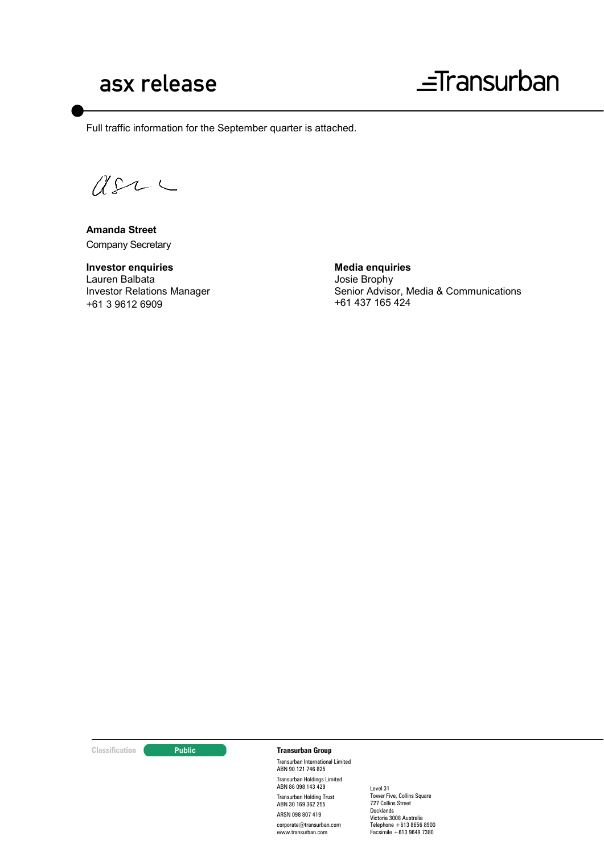## asx release

# $\equiv$ Transurban

Full traffic information for the September quarter is attached.

 $QSLC$ 

**Amanda Street** Company Secretary

**Investor enquiries** Lauren Balbata Investor Relations Manager +61 3 9612 6909

**Media enquiries** Josie Brophy Senior Advisor, Media & Communications +61 437 165 424

### **Classification Constitution Transurban Group**

Transurban International Limited ABN 90 121 746 825 Transurban Holdings Limited ABN 86 098 143 429 Transurban Holding Trust ABN 30 169 362 255 ARSN 098 807 419 corporate@transurban.com www.transurban.com